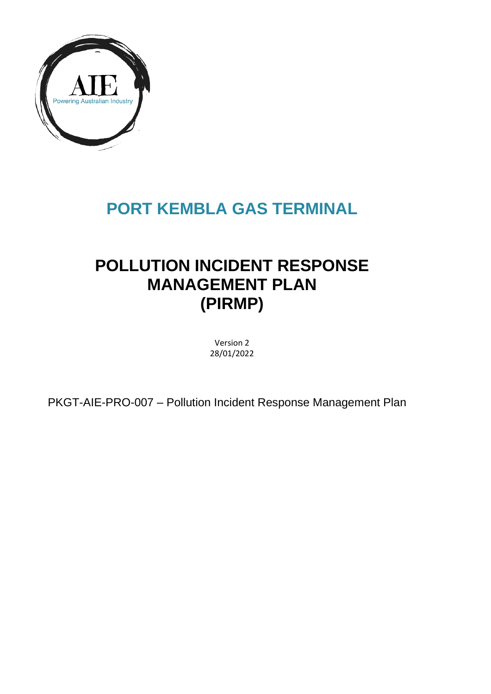

# **PORT KEMBLA GAS TERMINAL**

# **POLLUTION INCIDENT RESPONSE MANAGEMENT PLAN (PIRMP)**

Version 2 28/01/2022

PKGT-AIE-PRO-007 – Pollution Incident Response Management Plan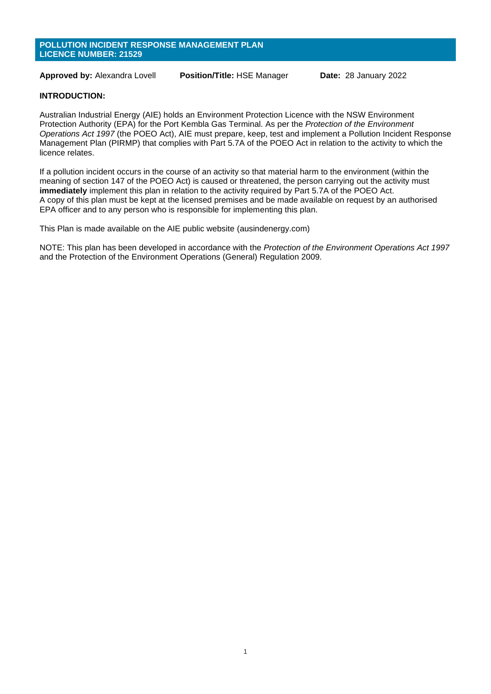#### **POLLUTION INCIDENT RESPONSE MANAGEMENT PLAN LICENCE NUMBER: 21529**

**Approved by:** Alexandra Lovell **Position/Title:** HSE Manager **Date:** 28 January 2022

#### **INTRODUCTION:**

Australian Industrial Energy (AIE) holds an Environment Protection Licence with the NSW Environment Protection Authority (EPA) for the Port Kembla Gas Terminal. As per the *Protection of the Environment Operations Act 1997* (the POEO Act), AIE must prepare, keep, test and implement a Pollution Incident Response Management Plan (PIRMP) that complies with Part 5.7A of the POEO Act in relation to the activity to which the licence relates.

If a pollution incident occurs in the course of an activity so that material harm to the environment (within the meaning of section 147 of the POEO Act) is caused or threatened, the person carrying out the activity must **immediately** implement this plan in relation to the activity required by Part 5.7A of the POEO Act. A copy of this plan must be kept at the licensed premises and be made available on request by an authorised EPA officer and to any person who is responsible for implementing this plan.

This Plan is made available on the AIE public website (ausindenergy.com)

NOTE: This plan has been developed in accordance with the *Protection of the Environment Operations Act 1997* and the Protection of the Environment Operations (General) Regulation 2009.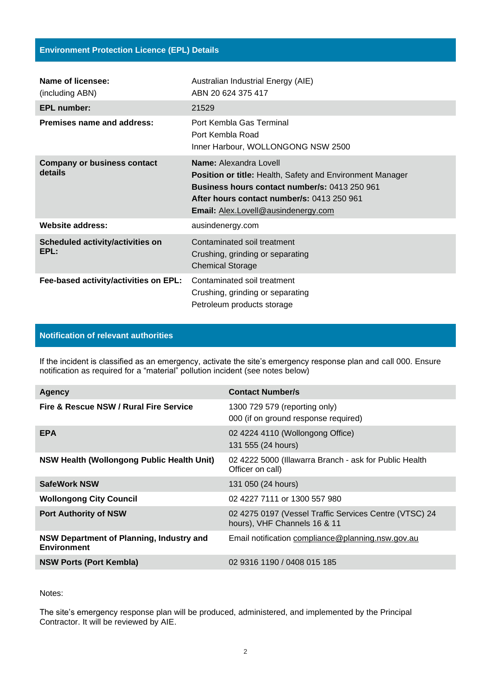| Name of licensee:<br>(including ABN)          | Australian Industrial Energy (AIE)<br>ABN 20 624 375 417                                                                                                                                                                                       |
|-----------------------------------------------|------------------------------------------------------------------------------------------------------------------------------------------------------------------------------------------------------------------------------------------------|
| <b>EPL number:</b>                            | 21529                                                                                                                                                                                                                                          |
| Premises name and address:                    | Port Kembla Gas Terminal<br>Port Kembla Road<br>Inner Harbour, WOLLONGONG NSW 2500                                                                                                                                                             |
| <b>Company or business contact</b><br>details | <b>Name:</b> Alexandra Lovell<br><b>Position or title: Health, Safety and Environment Manager</b><br><b>Business hours contact number/s: 0413 250 961</b><br>After hours contact number/s: 0413 250 961<br>Email: Alex.Lovell@ausindenergy.com |
| Website address:                              | ausindenergy.com                                                                                                                                                                                                                               |
| Scheduled activity/activities on<br>EPL:      | Contaminated soil treatment<br>Crushing, grinding or separating<br><b>Chemical Storage</b>                                                                                                                                                     |
| Fee-based activity/activities on EPL:         | Contaminated soil treatment<br>Crushing, grinding or separating<br>Petroleum products storage                                                                                                                                                  |

## **Notification of relevant authorities**

If the incident is classified as an emergency, activate the site's emergency response plan and call 000. Ensure notification as required for a "material" pollution incident (see notes below)

| <b>Agency</b>                                                         | <b>Contact Number/s</b>                                                                |
|-----------------------------------------------------------------------|----------------------------------------------------------------------------------------|
| Fire & Rescue NSW / Rural Fire Service                                | 1300 729 579 (reporting only)<br>000 (if on ground response required)                  |
| <b>EPA</b>                                                            | 02 4224 4110 (Wollongong Office)<br>131 555 (24 hours)                                 |
| NSW Health (Wollongong Public Health Unit)                            | 02 4222 5000 (Illawarra Branch - ask for Public Health<br>Officer on call)             |
| <b>SafeWork NSW</b>                                                   | 131 050 (24 hours)                                                                     |
| <b>Wollongong City Council</b>                                        | 02 4227 7111 or 1300 557 980                                                           |
| <b>Port Authority of NSW</b>                                          | 02 4275 0197 (Vessel Traffic Services Centre (VTSC) 24<br>hours), VHF Channels 16 & 11 |
| <b>NSW Department of Planning, Industry and</b><br><b>Environment</b> | Email notification compliance@planning.nsw.gov.au                                      |
| <b>NSW Ports (Port Kembla)</b>                                        | 02 9316 1190 / 0408 015 185                                                            |

Notes:

The site's emergency response plan will be produced, administered, and implemented by the Principal Contractor. It will be reviewed by AIE.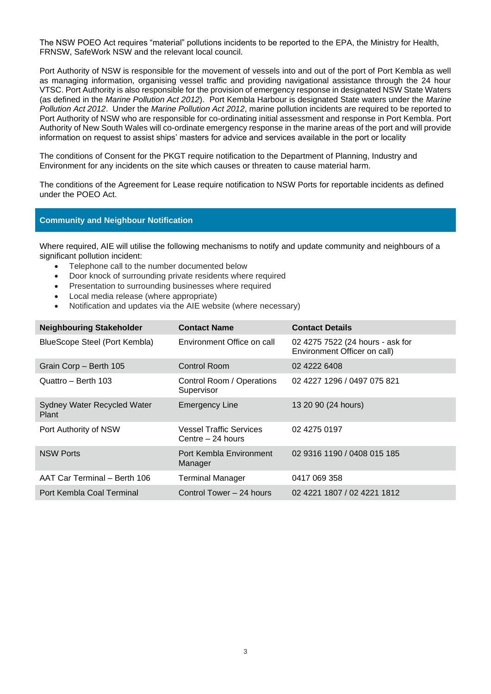The NSW POEO Act requires "material" pollutions incidents to be reported to the EPA, the Ministry for Health, FRNSW, SafeWork NSW and the relevant local council.

Port Authority of NSW is responsible for the movement of vessels into and out of the port of Port Kembla as well as managing information, organising vessel traffic and providing navigational assistance through the 24 hour VTSC. Port Authority is also responsible for the provision of emergency response in designated NSW State Waters (as defined in the *Marine Pollution Act 2012*). Port Kembla Harbour is designated State waters under the *Marine Pollution Act 2012*. Under the *Marine Pollution Act 2012*, marine pollution incidents are required to be reported to Port Authority of NSW who are responsible for co-ordinating initial assessment and response in Port Kembla. Port Authority of New South Wales will co-ordinate emergency response in the marine areas of the port and will provide information on request to assist ships' masters for advice and services available in the port or locality

The conditions of Consent for the PKGT require notification to the Department of Planning, Industry and Environment for any incidents on the site which causes or threaten to cause material harm.

The conditions of the Agreement for Lease require notification to NSW Ports for reportable incidents as defined under the POEO Act.

#### **Community and Neighbour Notification**

Where required, AIE will utilise the following mechanisms to notify and update community and neighbours of a significant pollution incident:

- Telephone call to the number documented below
- Door knock of surrounding private residents where required
- Presentation to surrounding businesses where required
- Local media release (where appropriate)
- Notification and updates via the AIE website (where necessary)

| <b>Neighbouring Stakeholder</b>      | <b>Contact Name</b>                                 | <b>Contact Details</b>                                           |
|--------------------------------------|-----------------------------------------------------|------------------------------------------------------------------|
| BlueScope Steel (Port Kembla)        | Environment Office on call                          | 02 4275 7522 (24 hours - ask for<br>Environment Officer on call) |
| Grain Corp - Berth 105               | Control Room                                        | 02 4222 6408                                                     |
| Quattro - Berth 103                  | Control Room / Operations<br>Supervisor             | 02 4227 1296 / 0497 075 821                                      |
| Sydney Water Recycled Water<br>Plant | <b>Emergency Line</b>                               | 13 20 90 (24 hours)                                              |
| Port Authority of NSW                | <b>Vessel Traffic Services</b><br>Centre - 24 hours | 02 4275 0197                                                     |
| <b>NSW Ports</b>                     | Port Kembla Environment<br>Manager                  | 02 9316 1190 / 0408 015 185                                      |
| AAT Car Terminal - Berth 106         | <b>Terminal Manager</b>                             | 0417 069 358                                                     |
| Port Kembla Coal Terminal            | Control Tower - 24 hours                            | 02 4221 1807 / 02 4221 1812                                      |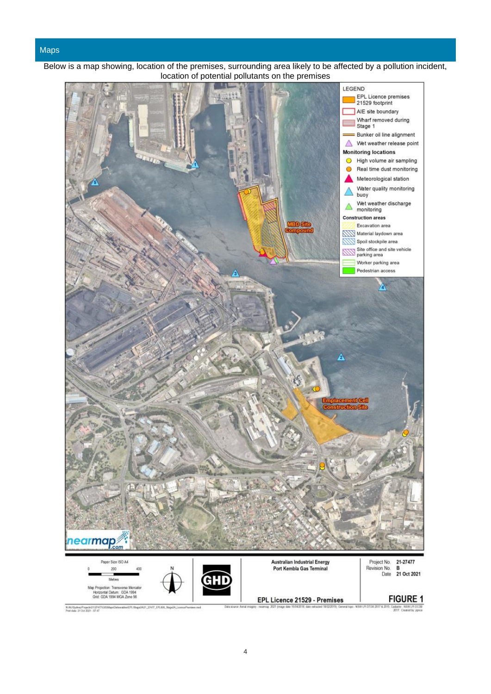#### Maps



Below is a map showing, location of the premises, surrounding area likely to be affected by a pollution incident, location of potential pollutants on the premises